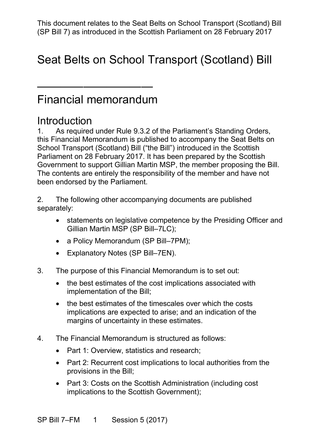# Seat Belts on School Transport (Scotland) Bill

# Financial memorandum

——————————

## **Introduction**

 1. As required under Rule 9.3.2 of the Parliament's Standing Orders, this Financial Memorandum is published to accompany the Seat Belts on Government to support Gillian Martin MSP, the member proposing the Bill. School Transport (Scotland) Bill ("the Bill") introduced in the Scottish Parliament on 28 February 2017. It has been prepared by the Scottish The contents are entirely the responsibility of the member and have not been endorsed by the Parliament.

2. The following other accompanying documents are published separately:

- statements on legislative competence by the Presiding Officer and Gillian Martin MSP (SP Bill–7LC);
- a Policy Memorandum (SP Bill–7PM);
- Explanatory Notes (SP Bill–7EN).
- 3. The purpose of this Financial Memorandum is to set out:
	- • the best estimates of the cost implications associated with implementation of the Bill;
	- • the best estimates of the timescales over which the costs implications are expected to arise; and an indication of the margins of uncertainty in these estimates.
- 4. The Financial Memorandum is structured as follows:
	- Part 1: Overview, statistics and research;
	- provisions in the Bill; • Part 2: Recurrent cost implications to local authorities from the
	- • Part 3: Costs on the Scottish Administration (including cost implications to the Scottish Government);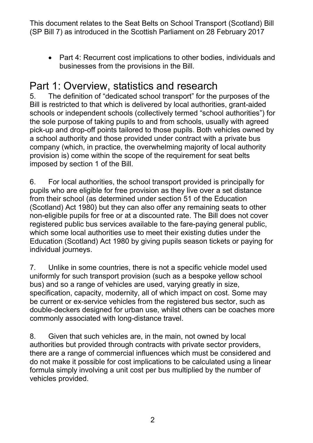• Part 4: Recurrent cost implications to other bodies, individuals and businesses from the provisions in the Bill.

# Part 1: Overview, statistics and research

 the sole purpose of taking pupils to and from schools, usually with agreed pick-up and drop-off points tailored to those pupils. Both vehicles owned by a school authority and those provided under contract with a private bus provision is) come within the scope of the requirement for seat belts 5. The definition of "dedicated school transport" for the purposes of the Bill is restricted to that which is delivered by local authorities, grant-aided schools or independent schools (collectively termed "school authorities") for company (which, in practice, the overwhelming majority of local authority imposed by section 1 of the Bill.

 pupils who are eligible for free provision as they live over a set distance from their school (as determined under section 51 of the Education (Scotland) Act 1980) but they can also offer any remaining seats to other non-eligible pupils for free or at a discounted rate. The Bill does not cover registered public bus services available to the fare-paying general public, 6. For local authorities, the school transport provided is principally for which some local authorities use to meet their existing duties under the Education (Scotland) Act 1980 by giving pupils season tickets or paying for individual journeys.

 uniformly for such transport provision (such as a bespoke yellow school be current or ex-service vehicles from the registered bus sector, such as double-deckers designed for urban use, whilst others can be coaches more 7. Unlike in some countries, there is not a specific vehicle model used bus) and so a range of vehicles are used, varying greatly in size, specification, capacity, modernity, all of which impact on cost. Some may commonly associated with long-distance travel.

 authorities but provided through contracts with private sector providers, do not make it possible for cost implications to be calculated using a linear 8. Given that such vehicles are, in the main, not owned by local there are a range of commercial influences which must be considered and formula simply involving a unit cost per bus multiplied by the number of vehicles provided.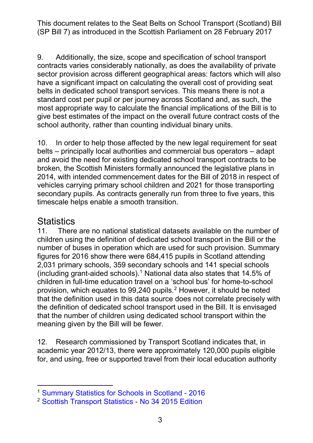9. Additionally, the size, scope and specification of school transport have a significant impact on calculating the overall cost of providing seat standard cost per pupil or per journey across Scotland and, as such, the most appropriate way to calculate the financial implications of the Bill is to school authority, rather than counting individual binary units. contracts varies considerably nationally, as does the availability of private sector provision across different geographical areas: factors which will also belts in dedicated school transport services. This means there is not a give best estimates of the impact on the overall future contract costs of the

 10. In order to help those affected by the new legal requirement for seat belts – principally local authorities and commercial bus operators – adapt broken, the Scottish Ministers formally announced the legislative plans in 2014, with intended commencement dates for the Bill of 2018 in respect of vehicles carrying primary school children and 2021 for those transporting secondary pupils. As contracts generally run from three to five years, this and avoid the need for existing dedicated school transport contracts to be timescale helps enable a smooth transition.

#### **Statistics**

 $11<sub>1</sub>$  children using the definition of dedicated school transport in the Bill or the figures for 2016 show there were 684,415 pupils in Scotland attending children in full-time education travel on a 'school bus' for home-to-school provision, which equates to 99,[2](#page-2-1)40 pupils. $<sup>2</sup>$  However, it should be noted</sup> that the definition used in this data source does not correlate precisely with There are no national statistical datasets available on the number of number of buses in operation which are used for such provision. Summary 2,031 primary schools, 359 secondary schools and 141 special schools (including grant-aided schools).<sup>1</sup> National data also states that 14.5% of the definition of dedicated school transport used in the Bill. It is envisaged that the number of children using dedicated school transport within the meaning given by the Bill will be fewer.

 academic year 2012/13, there were approximately 120,000 pupils eligible for, and using, free or supported travel from their local education authority 12. Research commissioned by Transport Scotland indicates that, in

<span id="page-2-0"></span> $\overline{a}$ 1 [Summary Statistics for Schools in Scotland -](http://www.gov.scot/Resource/0051/00511490.pdf) 2016

<span id="page-2-1"></span><sup>&</sup>lt;sup>2</sup> [Scottish Transport Statistics -](http://www.transport.gov.scot/sites/default/files/documents/rrd_reports/uploaded_reports/j415388/j415388.pdf) No 34 2015 Edition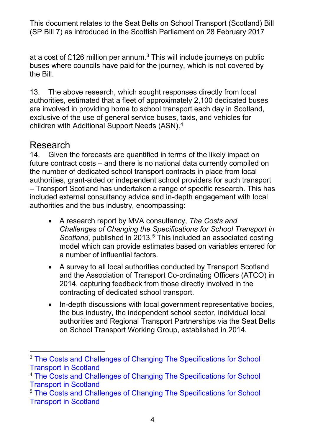buses where councils have paid for the journey, which is not covered by at a cost of £126 million per annum. $^3$  This will include journeys on public the Bill.

 authorities, estimated that a fleet of approximately 2,100 dedicated buses exclusive of the use of general service buses, taxis, and vehicles for children with Additional Support Needs (ASN). [4](#page-3-1)  13. The above research, which sought responses directly from local are involved in providing home to school transport each day in Scotland,

## Research

 future contract costs – and there is no national data currently compiled on the number of dedicated school transport contracts in place from local authorities and the bus industry, encompassing: 14. Given the forecasts are quantified in terms of the likely impact on authorities, grant-aided or independent school providers for such transport – Transport Scotland has undertaken a range of specific research. This has included external consultancy advice and in-depth engagement with local

- *Scotland*, published in 2013.<sup>5</sup> This included an associated costing • A research report by MVA consultancy, *The Costs and Challenges of Changing the Specifications for School Transport in*  model which can provide estimates based on variables entered for a number of influential factors.
- • A survey to all local authorities conducted by Transport Scotland 2014, capturing feedback from those directly involved in the and the Association of Transport Co-ordinating Officers (ATCO) in contracting of dedicated school transport.
- authorities and Regional Transport Partnerships via the Seat Belts • In-depth discussions with local government representative bodies, the bus industry, the independent school sector, individual local on School Transport Working Group, established in 2014.

<span id="page-3-0"></span> $\overline{a}$ <sup>3</sup> The Costs and Challenges of Changing The Specifications for School [Transport in Scotland](http://www.transport.gov.scot/sites/default/files/documents/rrd_reports/uploaded_reports/j292338/j292338.pdf)

<span id="page-3-1"></span><sup>&</sup>lt;sup>4</sup> The Costs and Challenges of Changing The Specifications for School [Transport in Scotland](http://www.transport.gov.scot/sites/default/files/documents/rrd_reports/uploaded_reports/j292338/j292338.pdf)

<span id="page-3-2"></span><sup>&</sup>lt;sup>5</sup> The Costs and Challenges of Changing The Specifications for School [Transport in Scotland](http://www.transport.gov.scot/sites/default/files/documents/rrd_reports/uploaded_reports/j292338/j292338.pdf)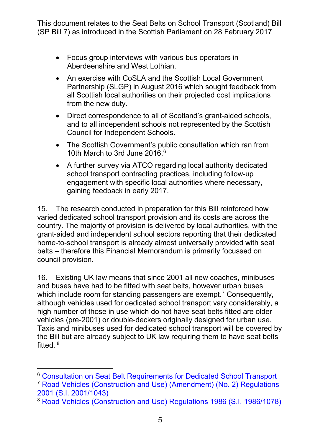- Focus group interviews with various bus operators in Aberdeenshire and West Lothian.
- • An exercise with CoSLA and the Scottish Local Government Partnership (SLGP) in August 2016 which sought feedback from all Scottish local authorities on their projected cost implications from the new duty.
- and to all independent schools not represented by the Scottish Council for Independent Schools. • Direct correspondence to all of Scotland's grant-aided schools,
- • The Scottish Government's public consultation which ran from 10th March to 3rd June 2016.<sup>6</sup>
- school transport contracting practices, including follow-up • A further survey via ATCO regarding local authority dedicated engagement with specific local authorities where necessary, gaining feedback in early 2017.

 15. The research conducted in preparation for this Bill reinforced how varied dedicated school transport provision and its costs are across the grant-aided and independent school sectors reporting that their dedicated home-to-school transport is already almost universally provided with seat country. The majority of provision is delivered by local authorities, with the belts – therefore this Financial Memorandum is primarily focussed on council provision.

 16. Existing UK law means that since 2001 all new coaches, minibuses which include room for standing passengers are exempt.<sup>7</sup> Consequently, vehicles (pre-2001) or double-deckers originally designed for urban use. Taxis and minibuses used for dedicated school transport will be covered by the Bill but are already subject to UK law requiring them to have seat belts fitted. <sup>[8](#page-4-2)</sup> and buses have had to be fitted with seat belts, however urban buses although vehicles used for dedicated school transport vary considerably, a high number of those in use which do not have seat belts fitted are older

-

<span id="page-4-1"></span>7 [Road Vehicles \(Construction and Use\) \(Amendment\) \(No. 2\) Regulations](http://www.legislation.gov.uk/uksi/2001/1043/contents/made)  [2001 \(S.I. 2001/1043\)](http://www.legislation.gov.uk/uksi/2001/1043/contents/made) 

<span id="page-4-0"></span><sup>6</sup> [Consultation on Seat Belt Requirements for Dedicated School Transport](http://www.transport.gov.scot/system/files/documents/reports/Transport%20Scotland%20-%20FCAS%20-%20School%20transport%20-%20Seat%20belt%20consultation%20-%20Analysis%20Report%20-%20August%202016.pdf) 

<span id="page-4-2"></span><sup>8</sup> [Road Vehicles \(Construction and Use\) Regulations 1986 \(S.I. 1986/1078\)](http://www.legislation.gov.uk/uksi/1986/1078/contents/made)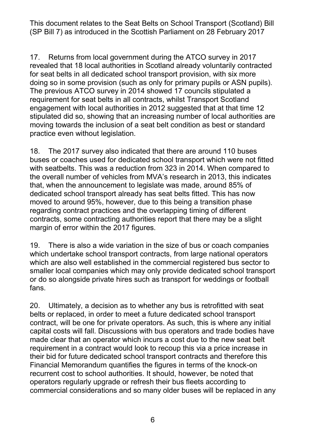17. Returns from local government during the ATCO survey in 2017 revealed that 18 local authorities in Scotland already voluntarily contracted for seat belts in all dedicated school transport provision, with six more doing so in some provision (such as only for primary pupils or ASN pupils). requirement for seat belts in all contracts, whilst Transport Scotland engagement with local authorities in 2012 suggested that at that time 12 moving towards the inclusion of a seat belt condition as best or standard practice even without legislation. The previous ATCO survey in 2014 showed 17 councils stipulated a stipulated did so, showing that an increasing number of local authorities are

 18. The 2017 survey also indicated that there are around 110 buses buses or coaches used for dedicated school transport which were not fitted with seatbelts. This was a reduction from 323 in 2014. When compared to the overall number of vehicles from MVA's research in 2013, this indicates dedicated school transport already has seat belts fitted. This has now regarding contract practices and the overlapping timing of different contracts, some contracting authorities report that there may be a slight margin of error within the 2017 figures. that, when the announcement to legislate was made, around 85% of moved to around 95%, however, due to this being a transition phase

 19. There is also a wide variation in the size of bus or coach companies which are also well established in the commercial registered bus sector to smaller local companies which may only provide dedicated school transport or do so alongside private hires such as transport for weddings or football which undertake school transport contracts, from large national operators fans.

 belts or replaced, in order to meet a future dedicated school transport capital costs will fall. Discussions with bus operators and trade bodies have made clear that an operator which incurs a cost due to the new seat belt requirement in a contract would look to recoup this via a price increase in their bid for future dedicated school transport contracts and therefore this recurrent cost to school authorities. It should, however, be noted that operators regularly upgrade or refresh their bus fleets according to commercial considerations and so many older buses will be replaced in any 20. Ultimately, a decision as to whether any bus is retrofitted with seat contract, will be one for private operators. As such, this is where any initial Financial Memorandum quantifies the figures in terms of the knock-on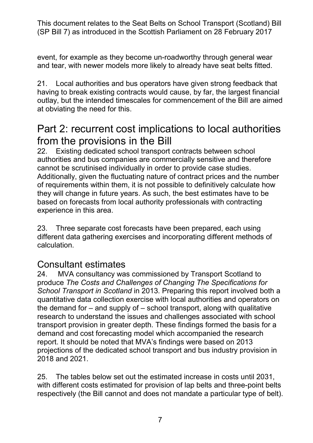event, for example as they become un-roadworthy through general wear and tear, with newer models more likely to already have seat belts fitted.

 having to break existing contracts would cause, by far, the largest financial outlay, but the intended timescales for commencement of the Bill are aimed at obviating the need for this. 21. Local authorities and bus operators have given strong feedback that

# Part 2: recurrent cost implications to local authorities from the provisions in the Bill

 they will change in future years. As such, the best estimates have to be based on forecasts from local authority professionals with contracting 22. Existing dedicated school transport contracts between school authorities and bus companies are commercially sensitive and therefore cannot be scrutinised individually in order to provide case studies. Additionally, given the fluctuating nature of contract prices and the number of requirements within them, it is not possible to definitively calculate how experience in this area.

 23. Three separate cost forecasts have been prepared, each using different data gathering exercises and incorporating different methods of calculation.

#### Consultant estimates

24.  produce *The Costs and Challenges of Changing The Specifications for*  quantitative data collection exercise with local authorities and operators on the demand for – and supply of – school transport, along with qualitative research to understand the issues and challenges associated with school demand and cost forecasting model which accompanied the research report. It should be noted that MVA's findings were based on 2013 2018 and 2021. MVA consultancy was commissioned by Transport Scotland to *School Transport in Scotland* in 2013. Preparing this report involved both a transport provision in greater depth. These findings formed the basis for a projections of the dedicated school transport and bus industry provision in

2018 and 2021.<br>25. The tables below set out the estimated increase in costs until 2031, with different costs estimated for provision of lap belts and three-point belts respectively (the Bill cannot and does not mandate a particular type of belt).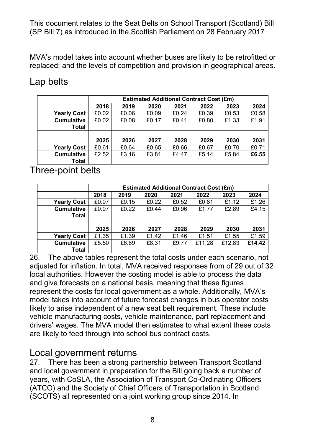replaced; and the levels of competition and provision in geographical areas. MVA's model takes into account whether buses are likely to be retrofitted or

## Lap belts

|                    | <b>Estimated Additional Contract Cost (£m)</b> |       |       |       |       |       |       |
|--------------------|------------------------------------------------|-------|-------|-------|-------|-------|-------|
|                    | 2018                                           | 2019  | 2020  | 2021  | 2022  | 2023  | 2024  |
| <b>Yearly Cost</b> | £0.02                                          | £0.06 | £0.09 | £0.24 | £0.39 | £0.53 | £0.58 |
| <b>Cumulative</b>  | £0.02                                          | £0.08 | £0.17 | £0.41 | £0.80 | £1.33 | £1.91 |
| <b>Total</b>       |                                                |       |       |       |       |       |       |
|                    |                                                |       |       |       |       |       |       |
|                    | 2025                                           | 2026  | 2027  | 2028  | 2029  | 2030  | 2031  |
| <b>Yearly Cost</b> | £0.61                                          | £0.64 | £0.65 | £0.66 | £0.67 | £0.70 | £0.71 |
| <b>Cumulative</b>  | £2.52                                          | £3.16 | £3.81 | £4.47 | £5.14 | £5.84 | £6.55 |
| <b>Total</b>       |                                                |       |       |       |       |       |       |

#### Three-point belts

|                    | <b>Estimated Additional Contract Cost (£m)</b> |       |       |       |        |        |        |
|--------------------|------------------------------------------------|-------|-------|-------|--------|--------|--------|
|                    | 2018                                           | 2019  | 2020  | 2021  | 2022   | 2023   | 2024   |
| <b>Yearly Cost</b> | £0.07                                          | £0.15 | £0.22 | £0.52 | £0.81  | £1.12  | £1.26  |
| <b>Cumulative</b>  | £0.07                                          | £0.22 | £0.44 | £0.96 | £1.77  | £2.89  | £4.15  |
| <b>Total</b>       |                                                |       |       |       |        |        |        |
|                    |                                                |       |       |       |        |        |        |
|                    | 2025                                           | 2026  | 2027  | 2028  | 2029   | 2030   | 2031   |
| <b>Yearly Cost</b> | £1.35                                          | £1.39 | £1.42 | £1.46 | £1.51  | £1.55  | £1.59  |
| <b>Cumulative</b>  | £5.50                                          | £6.89 | £8.31 | £9.77 | £11.28 | £12.83 | £14.42 |
| <b>Total</b>       |                                                |       |       |       |        |        |        |

26. The above tables represent the total costs under <u>each</u> scenario, not local authorities. However the costing model is able to process the data and give forecasts on a national basis, meaning that these figures model takes into account of future forecast changes in bus operator costs drivers' wages. The MVA model then estimates to what extent these costs are likely to feed through into school bus contract costs. adjusted for inflation. In total, MVA received responses from of 29 out of 32 represent the costs for local government as a whole. Additionally, MVA's likely to arise independent of a new seat belt requirement. These include vehicle manufacturing costs, vehicle maintenance, part replacement and

#### Local government returns

 (SCOTS) all represented on a joint working group since 2014. In 27. There has been a strong partnership between Transport Scotland and local government in preparation for the Bill going back a number of years, with CoSLA, the Association of Transport Co-Ordinating Officers (ATCO) and the Society of Chief Officers of Transportation in Scotland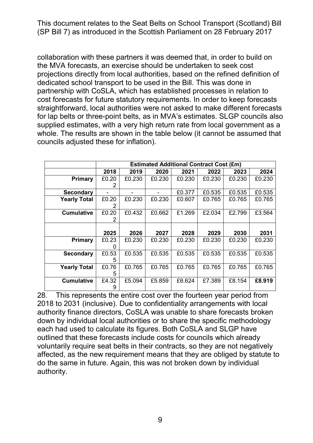collaboration with these partners it was deemed that, in order to build on the MVA forecasts, an exercise should be undertaken to seek cost dedicated school transport to be used in the Bill. This was done in partnership with CoSLA, which has established processes in relation to cost forecasts for future statutory requirements. In order to keep forecasts straightforward, local authorities were not asked to make different forecasts for lap belts or three-point belts, as in MVA's estimates. SLGP councils also supplied estimates, with a very high return rate from local government as a whole. The results are shown in the table below (it cannot be assumed that projections directly from local authorities, based on the refined definition of councils adjusted these for inflation).

|                     | <b>Estimated Additional Contract Cost (£m)</b> |        |        |        |        |        |        |
|---------------------|------------------------------------------------|--------|--------|--------|--------|--------|--------|
|                     | 2018                                           | 2019   | 2020   | 2021   | 2022   | 2023   | 2024   |
| Primary             | £0.20                                          | £0.230 | £0.230 | £0.230 | £0.230 | £0.230 | £0.230 |
|                     | 2                                              |        |        |        |        |        |        |
| <b>Secondary</b>    |                                                |        |        | £0.377 | £0.535 | £0.535 | £0.535 |
| <b>Yearly Total</b> | £0.20                                          | £0.230 | £0.230 | £0.607 | £0.765 | £0.765 | £0.765 |
|                     | 2                                              |        |        |        |        |        |        |
| <b>Cumulative</b>   | £0.20                                          | £0.432 | £0.662 | £1.269 | £2.034 | £2.799 | £3.564 |
|                     | 2                                              |        |        |        |        |        |        |
|                     |                                                |        |        |        |        |        |        |
|                     | 2025                                           | 2026   | 2027   | 2028   | 2029   | 2030   | 2031   |
| Primary             | £0.23                                          | £0.230 | £0.230 | £0.230 | £0.230 | £0.230 | £0.230 |
|                     |                                                |        |        |        |        |        |        |
| <b>Secondary</b>    | £0.53                                          | £0.535 | £0.535 | £0.535 | £0.535 | £0.535 | £0.535 |
|                     | 5                                              |        |        |        |        |        |        |
| <b>Yearly Total</b> | £0.76                                          | £0.765 | £0.765 | £0.765 | £0.765 | £0.765 | £0.765 |
|                     | 5                                              |        |        |        |        |        |        |
| <b>Cumulative</b>   | £4.32                                          | £5.094 | £5.859 | £6.624 | £7.389 | £8.154 | £8,919 |
|                     | 9                                              |        |        |        |        |        |        |

 each had used to calculate its figures. Both CoSLA and SLGP have outlined that these forecasts include costs for councils which already voluntarily require seat belts in their contracts, so they are not negatively do the same in future. Again, this was not broken down by individual 28. This represents the entire cost over the fourteen year period from 2018 to 2031 (inclusive). Due to confidentiality arrangements with local authority finance directors, CoSLA was unable to share forecasts broken down by individual local authorities or to share the specific methodology affected, as the new requirement means that they are obliged by statute to authority.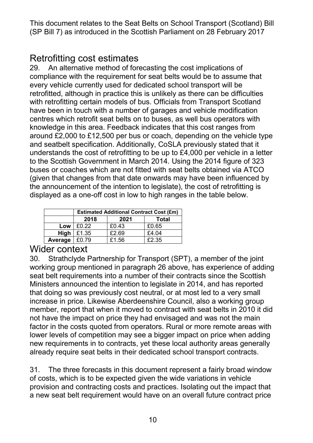## Retrofitting cost estimates

 29. An alternative method of forecasting the cost implications of centres which retrofit seat belts on to buses, as well bus operators with knowledge in this area. Feedback indicates that this cost ranges from around £2,000 to £12,500 per bus or coach, depending on the vehicle type and seatbelt specification. Additionally, CoSLA previously stated that it understands the cost of retrofitting to be up to £4,000 per vehicle in a letter buses or coaches which are not fitted with seat belts obtained via ATCO the announcement of the intention to legislate), the cost of retrofitting is displayed as a one-off cost in low to high ranges in the table below. compliance with the requirement for seat belts would be to assume that every vehicle currently used for dedicated school transport will be retrofitted, although in practice this is unlikely as there can be difficulties with retrofitting certain models of bus. Officials from Transport Scotland have been in touch with a number of garages and vehicle modification to the Scottish Government in March 2014. Using the 2014 figure of 323 (given that changes from that date onwards may have been influenced by

|         | <b>Estimated Additional Contract Cost (£m)</b> |       |       |  |  |
|---------|------------------------------------------------|-------|-------|--|--|
|         | 2018                                           | 2021  | Total |  |  |
| Low     | £0.22                                          | £0.43 | £0.65 |  |  |
| High    | £1.35                                          | £2.69 | £4.04 |  |  |
| Average | £0.79                                          | £1.56 | £2.35 |  |  |

#### Wider context

 30. Strathclyde Partnership for Transport (SPT), a member of the joint seat belt requirements into a number of their contracts since the Scottish Ministers announced the intention to legislate in 2014, and has reported member, report that when it moved to contract with seat belts in 2010 it did not have the impact on price they had envisaged and was not the main lower levels of competition may see a bigger impact on price when adding new requirements in to contracts, yet these local authority areas generally already require seat belts in their dedicated school transport contracts. working group mentioned in paragraph 26 above, has experience of adding that doing so was previously cost neutral, or at most led to a very small increase in price. Likewise Aberdeenshire Council, also a working group factor in the costs quoted from operators. Rural or more remote areas with

 31. The three forecasts in this document represent a fairly broad window provision and contracting costs and practices. Isolating out the impact that a new seat belt requirement would have on an overall future contract price of costs, which is to be expected given the wide variations in vehicle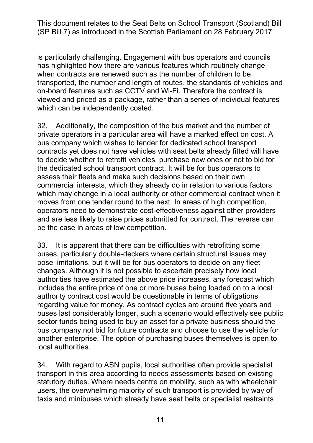transported, the number and length of routes, the standards of vehicles and is particularly challenging. Engagement with bus operators and councils has highlighted how there are various features which routinely change when contracts are renewed such as the number of children to be on-board features such as CCTV and Wi-Fi. Therefore the contract is viewed and priced as a package, rather than a series of individual features which can be independently costed.

 private operators in a particular area will have a marked effect on cost. A contracts yet does not have vehicles with seat belts already fitted will have to decide whether to retrofit vehicles, purchase new ones or not to bid for assess their fleets and make such decisions based on their own which may change in a local authority or other commercial contract when it and are less likely to raise prices submitted for contract. The reverse can 32. Additionally, the composition of the bus market and the number of bus company which wishes to tender for dedicated school transport the dedicated school transport contract. It will be for bus operators to commercial interests, which they already do in relation to various factors moves from one tender round to the next. In areas of high competition, operators need to demonstrate cost-effectiveness against other providers be the case in areas of low competition.

 33. It is apparent that there can be difficulties with retrofitting some pose limitations, but it will be for bus operators to decide on any fleet changes. Although it is not possible to ascertain precisely how local authority contract cost would be questionable in terms of obligations regarding value for money. As contract cycles are around five years and buses last considerably longer, such a scenario would effectively see public sector funds being used to buy an asset for a private business should the bus company not bid for future contracts and choose to use the vehicle for another enterprise. The option of purchasing buses themselves is open to buses, particularly double-deckers where certain structural issues may authorities have estimated the above price increases, any forecast which includes the entire price of one or more buses being loaded on to a local local authorities.

 transport in this area according to needs assessments based on existing statutory duties. Where needs centre on mobility, such as with wheelchair users, the overwhelming majority of such transport is provided by way of 34. With regard to ASN pupils, local authorities often provide specialist taxis and minibuses which already have seat belts or specialist restraints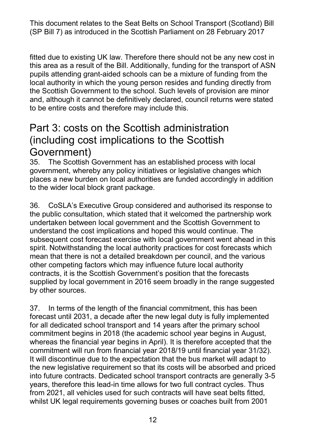fitted due to existing UK law. Therefore there should not be any new cost in this area as a result of the Bill. Additionally, funding for the transport of ASN pupils attending grant-aided schools can be a mixture of funding from the the Scottish Government to the school. Such levels of provision are minor and, although it cannot be definitively declared, council returns were stated to be entire costs and therefore may include this. local authority in which the young person resides and funding directly from

# to be entire costs and therefore may include this.<br>Part 3: costs on the Scottish administration (including cost implications to the Scottish Government)

 to the wider local block grant package. 35. The Scottish Government has an established process with local government, whereby any policy initiatives or legislative changes which places a new burden on local authorities are funded accordingly in addition

 36. CoSLA's Executive Group considered and authorised its response to subsequent cost forecast exercise with local government went ahead in this spirit. Notwithstanding the local authority practices for cost forecasts which mean that there is not a detailed breakdown per council, and the various contracts, it is the Scottish Government's position that the forecasts by other sources. the public consultation, which stated that it welcomed the partnership work undertaken between local government and the Scottish Government to understand the cost implications and hoped this would continue. The other competing factors which may influence future local authority supplied by local government in 2016 seem broadly in the range suggested

 37. In terms of the length of the financial commitment, this has been forecast until 2031, a decade after the new legal duty is fully implemented for all dedicated school transport and 14 years after the primary school whereas the financial year begins in April). It is therefore accepted that the commitment will run from financial year 2018/19 until financial year 31/32). It will discontinue due to the expectation that the bus market will adapt to the new legislative requirement so that its costs will be absorbed and priced from 2021, all vehicles used for such contracts will have seat belts fitted, whilst UK legal requirements governing buses or coaches built from 2001 commitment begins in 2018 (the academic school year begins in August, into future contracts. Dedicated school transport contracts are generally 3-5 years, therefore this lead-in time allows for two full contract cycles. Thus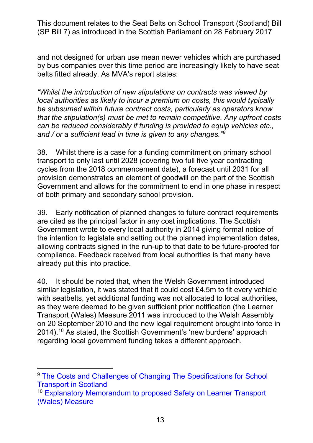belts fitted already. As MVA's report states: and not designed for urban use mean newer vehicles which are purchased by bus companies over this time period are increasingly likely to have seat

 *"Whilst the introduction of new stipulations on contracts was viewed by local authorities as likely to incur a premium on costs, this would typically be subsumed within future contract costs, particularly as operators know that the stipulation(s) must be met to remain competitive. Any upfront costs can be reduced considerably if funding is provided to equip vehicles etc., and / or a sufficient lead in time is given to any changes."[9](#page-12-0)* 

 transport to only last until 2028 (covering two full five year contracting cycles from the 2018 commencement date), a forecast until 2031 for all Government and allows for the commitment to end in one phase in respect 38. Whilst there is a case for a funding commitment on primary school provision demonstrates an element of goodwill on the part of the Scottish of both primary and secondary school provision.

 39. Early notification of planned changes to future contract requirements are cited as the principal factor in any cost implications. The Scottish the intention to legislate and setting out the planned implementation dates, Government wrote to every local authority in 2014 giving formal notice of allowing contracts signed in the run-up to that date to be future-proofed for compliance. Feedback received from local authorities is that many have already put this into practice.

 similar legislation, it was stated that it could cost £4.5m to fit every vehicle with seatbelts, yet additional funding was not allocated to local authorities, Transport (Wales) Measure 2011 was introduced to the Welsh Assembly on 20 September 2010 and the new legal requirement brought into force in 2014). $^{10}$  $^{10}$  $^{10}$  As stated, the Scottish Government's 'new burdens' approach 40. It should be noted that, when the Welsh Government introduced as they were deemed to be given sufficient prior notification (the Learner regarding local government funding takes a different approach.

 $\overline{a}$ 

<span id="page-12-0"></span><sup>&</sup>lt;sup>9</sup> The Costs and Challenges of Changing The Specifications for School [Transport in Scotland](http://www.transport.gov.scot/sites/default/files/documents/rrd_reports/uploaded_reports/j292338/j292338.pdf)

<span id="page-12-1"></span><sup>&</sup>lt;sup>10</sup> Explanatory Memorandum to proposed Safety on Learner Transport [\(Wales\) Measure](http://www.assembly.wales/Laid%20Documents/MS-LD8217-EM%20-%20Explanatory%20Memorandum%20to%20the%20Proposed%20Safety%20on%20Learner%20Transport%20(Wales)%20Measure-20092010-196404/ms-ld8217-em-e-English.pdf)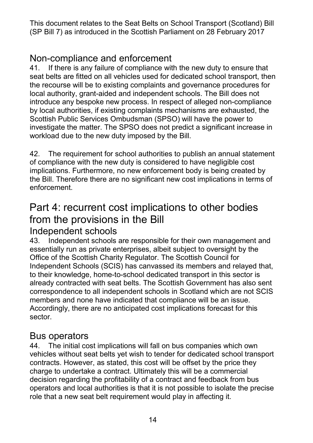## Non-compliance and enforcement

 workload due to the new duty imposed by the Bill. 41. If there is any failure of compliance with the new duty to ensure that seat belts are fitted on all vehicles used for dedicated school transport, then the recourse will be to existing complaints and governance procedures for local authority, grant-aided and independent schools. The Bill does not introduce any bespoke new process. In respect of alleged non-compliance by local authorities, if existing complaints mechanisms are exhausted, the Scottish Public Services Ombudsman (SPSO) will have the power to investigate the matter. The SPSO does not predict a significant increase in

 of compliance with the new duty is considered to have negligible cost the Bill. Therefore there are no significant new cost implications in terms of 42. The requirement for school authorities to publish an annual statement implications. Furthermore, no new enforcement body is being created by enforcement.

# Part 4: recurrent cost implications to other bodies from the provisions in the Bill

#### Independent schools

 to their knowledge, home-to-school dedicated transport in this sector is already contracted with seat belts. The Scottish Government has also sent Accordingly, there are no anticipated cost implications forecast for this sector. 43. Independent schools are responsible for their own management and essentially run as private enterprises, albeit subject to oversight by the Office of the Scottish Charity Regulator. The Scottish Council for Independent Schools (SCIS) has canvassed its members and relayed that, correspondence to all independent schools in Scotland which are not SCIS members and none have indicated that compliance will be an issue.

## Bus operators

 vehicles without seat belts yet wish to tender for dedicated school transport decision regarding the profitability of a contract and feedback from bus 44. The initial cost implications will fall on bus companies which own contracts. However, as stated, this cost will be offset by the price they charge to undertake a contract. Ultimately this will be a commercial operators and local authorities is that it is not possible to isolate the precise role that a new seat belt requirement would play in affecting it.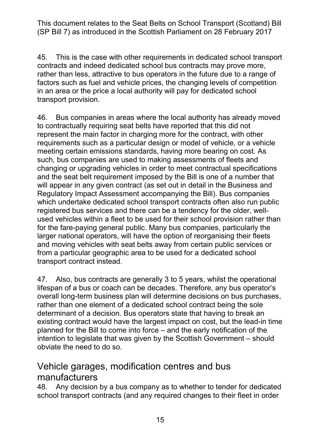45. This is the case with other requirements in dedicated school transport contracts and indeed dedicated school bus contracts may prove more, rather than less, attractive to bus operators in the future due to a range of factors such as fuel and vehicle prices, the changing levels of competition in an area or the price a local authority will pay for dedicated school transport provision.

 to contractually requiring seat belts have reported that this did not represent the main factor in charging more for the contract, with other such, bus companies are used to making assessments of fleets and and the seat belt requirement imposed by the Bill is one of a number that will appear in any given contract (as set out in detail in the Business and Regulatory Impact Assessment accompanying the Bill). Bus companies which undertake dedicated school transport contracts often also run public registered bus services and there can be a tendency for the older, well- used vehicles within a fleet to be used for their school provision rather than for the fare-paying general public. Many bus companies, particularly the larger national operators, will have the option of reorganising their fleets and moving vehicles with seat belts away from certain public services or from a particular geographic area to be used for a dedicated school 46. Bus companies in areas where the local authority has already moved requirements such as a particular design or model of vehicle, or a vehicle meeting certain emissions standards, having more bearing on cost. As changing or upgrading vehicles in order to meet contractual specifications transport contract instead.

 lifespan of a bus or coach can be decades. Therefore, any bus operator's rather than one element of a dedicated school contract being the sole determinant of a decision. Bus operators state that having to break an planned for the Bill to come into force – and the early notification of the 47. Also, bus contracts are generally 3 to 5 years, whilst the operational overall long-term business plan will determine decisions on bus purchases, existing contract would have the largest impact on cost, but the lead-in time intention to legislate that was given by the Scottish Government – should obviate the need to do so.

## Vehicle garages, modification centres and bus manufacturers

 school transport contracts (and any required changes to their fleet in order 48. Any decision by a bus company as to whether to tender for dedicated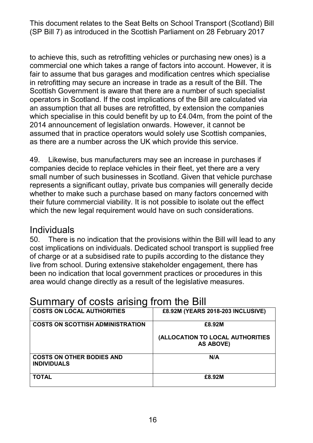fair to assume that bus garages and modification centres which specialise in retrofitting may secure an increase in trade as a result of the Bill. The Scottish Government is aware that there are a number of such specialist which specialise in this could benefit by up to £4.04m, from the point of the 2014 announcement of legislation onwards. However, it cannot be to achieve this, such as retrofitting vehicles or purchasing new ones) is a commercial one which takes a range of factors into account. However, it is operators in Scotland. If the cost implications of the Bill are calculated via an assumption that all buses are retrofitted, by extension the companies assumed that in practice operators would solely use Scottish companies, as there are a number across the UK which provide this service.

 represents a significant outlay, private bus companies will generally decide their future commercial viability. It is not possible to isolate out the effect 49. Likewise, bus manufacturers may see an increase in purchases if companies decide to replace vehicles in their fleet, yet there are a very small number of such businesses in Scotland. Given that vehicle purchase whether to make such a purchase based on many factors concerned with which the new legal requirement would have on such considerations.

#### Individuals

 cost implications on individuals. Dedicated school transport is supplied free of charge or at a subsidised rate to pupils according to the distance they live from school. During extensive stakeholder engagement, there has area would change directly as a result of the legislative measures. 50. There is no indication that the provisions within the Bill will lead to any been no indication that local government practices or procedures in this

| <b>COSTS ON LOCAL AUTHORITIES</b>                      | £8.92M (YEARS 2018-203 INCLUSIVE)                    |
|--------------------------------------------------------|------------------------------------------------------|
| <b>COSTS ON SCOTTISH ADMINISTRATION</b>                | £8.92M                                               |
|                                                        | (ALLOCATION TO LOCAL AUTHORITIES<br><b>AS ABOVE)</b> |
| <b>COSTS ON OTHER BODIES AND</b><br><b>INDIVIDUALS</b> | N/A                                                  |
| <b>TOTAL</b>                                           | £8.92M                                               |

## Summary of costs arising from the Bill